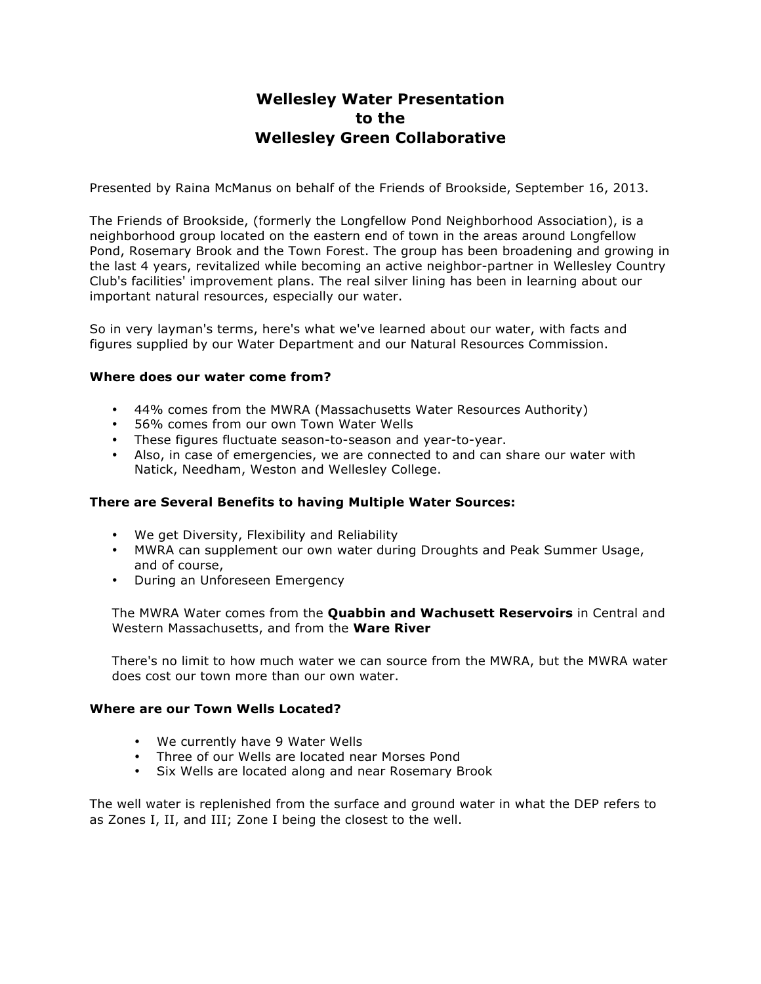# **Wellesley Water Presentation to the Wellesley Green Collaborative**

Presented by Raina McManus on behalf of the Friends of Brookside, September 16, 2013.

The Friends of Brookside, (formerly the Longfellow Pond Neighborhood Association), is a neighborhood group located on the eastern end of town in the areas around Longfellow Pond, Rosemary Brook and the Town Forest. The group has been broadening and growing in the last 4 years, revitalized while becoming an active neighbor-partner in Wellesley Country Club's facilities' improvement plans. The real silver lining has been in learning about our important natural resources, especially our water.

So in very layman's terms, here's what we've learned about our water, with facts and figures supplied by our Water Department and our Natural Resources Commission.

#### **Where does our water come from?**

- 44% comes from the MWRA (Massachusetts Water Resources Authority)
- 56% comes from our own Town Water Wells
- These figures fluctuate season-to-season and year-to-year.
- Also, in case of emergencies, we are connected to and can share our water with Natick, Needham, Weston and Wellesley College.

# **There are Several Benefits to having Multiple Water Sources:**

- We get Diversity, Flexibility and Reliability
- MWRA can supplement our own water during Droughts and Peak Summer Usage, and of course,
- During an Unforeseen Emergency

The MWRA Water comes from the **Quabbin and Wachusett Reservoirs** in Central and Western Massachusetts, and from the **Ware River**

There's no limit to how much water we can source from the MWRA, but the MWRA water does cost our town more than our own water.

#### **Where are our Town Wells Located?**

- We currently have 9 Water Wells
- Three of our Wells are located near Morses Pond
- Six Wells are located along and near Rosemary Brook

The well water is replenished from the surface and ground water in what the DEP refers to as Zones I, II, and III; Zone I being the closest to the well.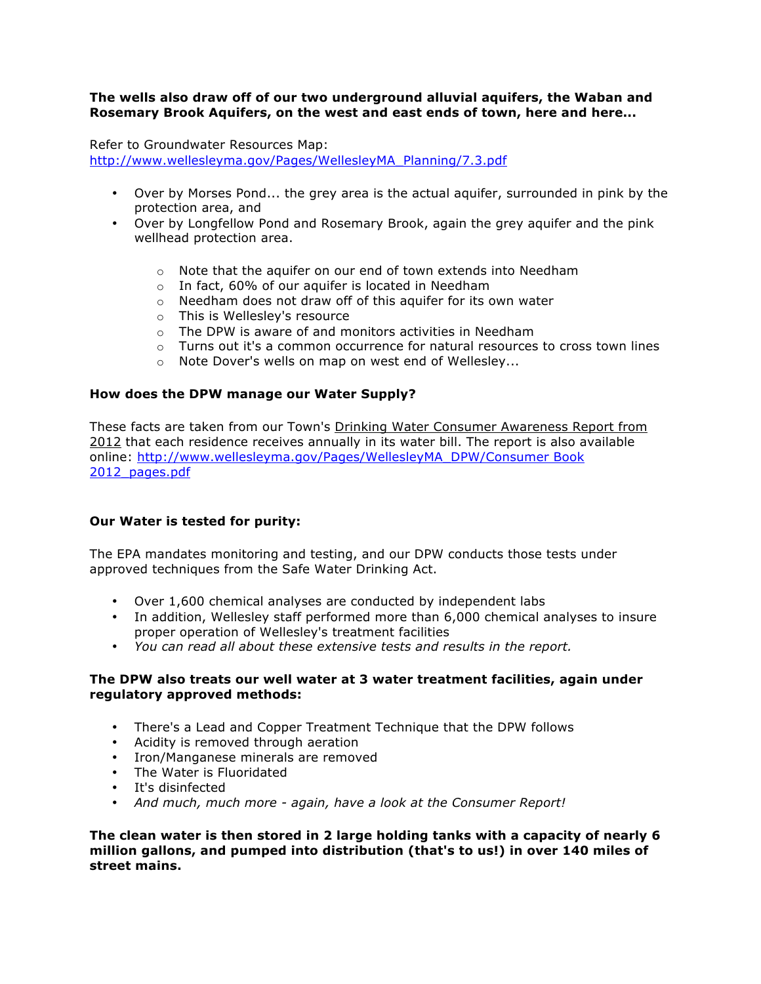### **The wells also draw off of our two underground alluvial aquifers, the Waban and Rosemary Brook Aquifers, on the west and east ends of town, here and here...**

Refer to Groundwater Resources Map: http://www.wellesleyma.gov/Pages/WellesleyMA\_Planning/7.3.pdf

- Over by Morses Pond... the grey area is the actual aquifer, surrounded in pink by the protection area, and
- Over by Longfellow Pond and Rosemary Brook, again the grey aquifer and the pink wellhead protection area.
	- o Note that the aquifer on our end of town extends into Needham
	- o In fact, 60% of our aquifer is located in Needham
	- o Needham does not draw off of this aquifer for its own water
	- o This is Wellesley's resource
	- $\circ$  The DPW is aware of and monitors activities in Needham
	- $\circ$  Turns out it's a common occurrence for natural resources to cross town lines
	- o Note Dover's wells on map on west end of Wellesley...

#### **How does the DPW manage our Water Supply?**

These facts are taken from our Town's Drinking Water Consumer Awareness Report from 2012 that each residence receives annually in its water bill. The report is also available online: http://www.wellesleyma.gov/Pages/WellesleyMA\_DPW/Consumer Book 2012\_pages.pdf

#### **Our Water is tested for purity:**

The EPA mandates monitoring and testing, and our DPW conducts those tests under approved techniques from the Safe Water Drinking Act.

- Over 1,600 chemical analyses are conducted by independent labs
- In addition, Wellesley staff performed more than 6,000 chemical analyses to insure proper operation of Wellesley's treatment facilities
- *You can read all about these extensive tests and results in the report.*

#### **The DPW also treats our well water at 3 water treatment facilities, again under regulatory approved methods:**

- There's a Lead and Copper Treatment Technique that the DPW follows
- Acidity is removed through aeration
- Iron/Manganese minerals are removed
- The Water is Fluoridated
- It's disinfected
- *And much, much more again, have a look at the Consumer Report!*

**The clean water is then stored in 2 large holding tanks with a capacity of nearly 6 million gallons, and pumped into distribution (that's to us!) in over 140 miles of street mains.**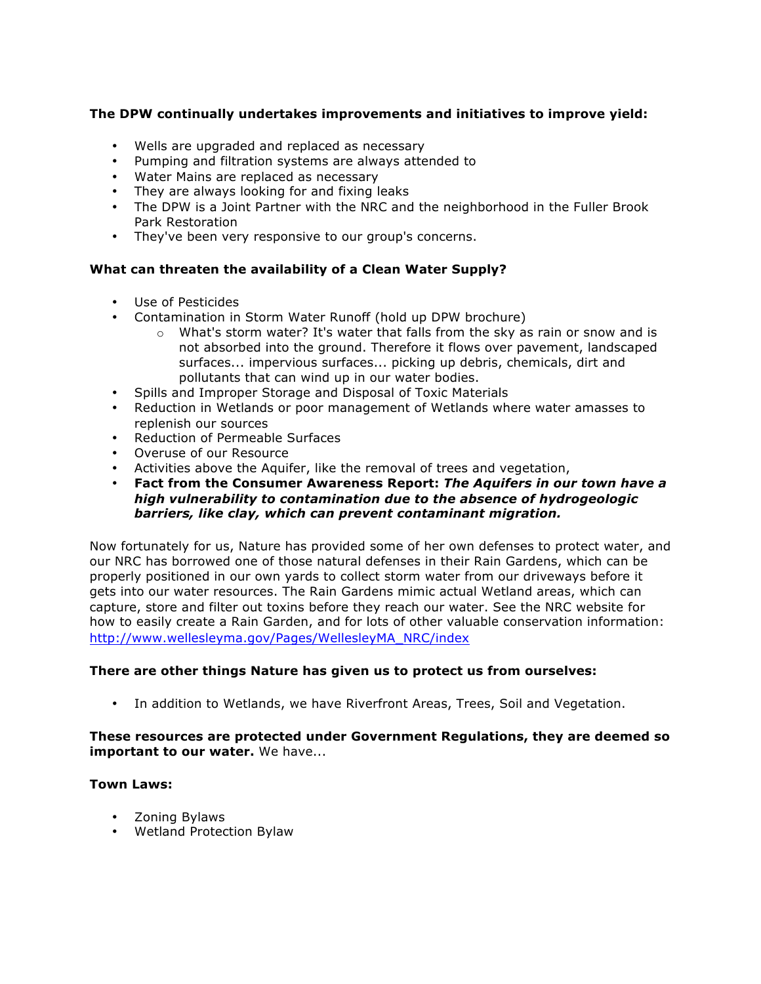# **The DPW continually undertakes improvements and initiatives to improve yield:**

- Wells are upgraded and replaced as necessary
- Pumping and filtration systems are always attended to
- Water Mains are replaced as necessary
- They are always looking for and fixing leaks
- The DPW is a Joint Partner with the NRC and the neighborhood in the Fuller Brook Park Restoration
- They've been very responsive to our group's concerns.

# **What can threaten the availability of a Clean Water Supply?**

- Use of Pesticides
- Contamination in Storm Water Runoff (hold up DPW brochure)
	- $\circ$  What's storm water? It's water that falls from the sky as rain or snow and is not absorbed into the ground. Therefore it flows over pavement, landscaped surfaces... impervious surfaces... picking up debris, chemicals, dirt and pollutants that can wind up in our water bodies.
- Spills and Improper Storage and Disposal of Toxic Materials
- Reduction in Wetlands or poor management of Wetlands where water amasses to replenish our sources
- Reduction of Permeable Surfaces
- Overuse of our Resource
- Activities above the Aquifer, like the removal of trees and vegetation,
- **Fact from the Consumer Awareness Report:** *The Aquifers in our town have a high vulnerability to contamination due to the absence of hydrogeologic barriers, like clay, which can prevent contaminant migration.*

Now fortunately for us, Nature has provided some of her own defenses to protect water, and our NRC has borrowed one of those natural defenses in their Rain Gardens, which can be properly positioned in our own yards to collect storm water from our driveways before it gets into our water resources. The Rain Gardens mimic actual Wetland areas, which can capture, store and filter out toxins before they reach our water. See the NRC website for how to easily create a Rain Garden, and for lots of other valuable conservation information: http://www.wellesleyma.gov/Pages/WellesleyMA\_NRC/index

#### **There are other things Nature has given us to protect us from ourselves:**

• In addition to Wetlands, we have Riverfront Areas, Trees, Soil and Vegetation.

#### **These resources are protected under Government Regulations, they are deemed so important to our water.** We have...

#### **Town Laws:**

- Zoning Bylaws
- Wetland Protection Bylaw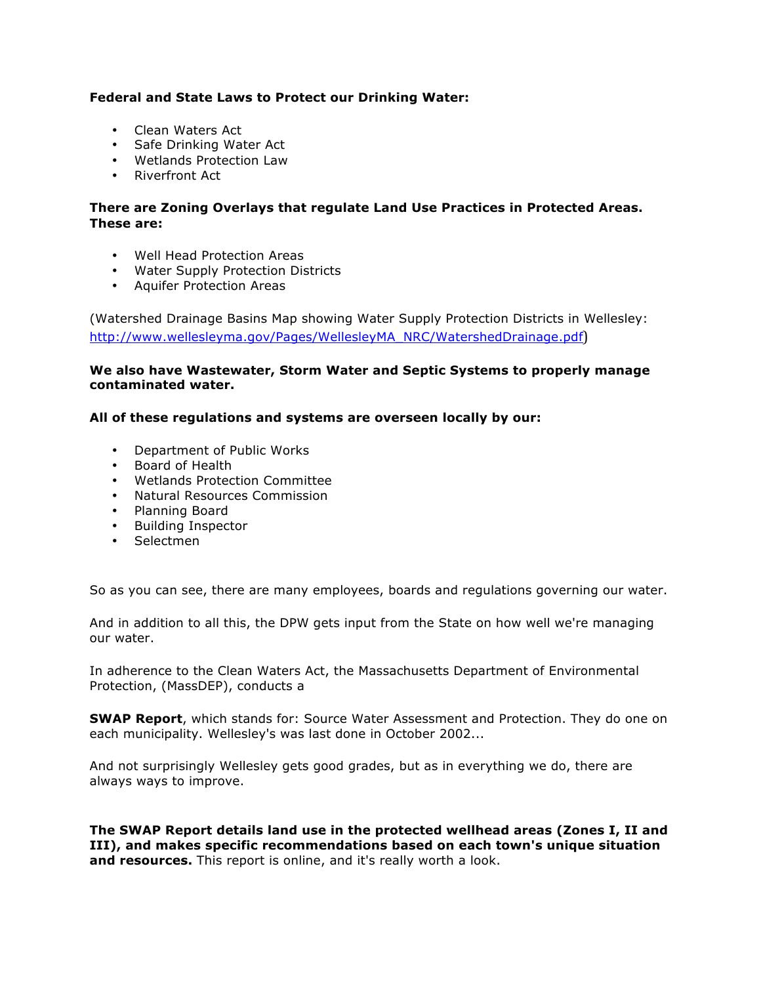### **Federal and State Laws to Protect our Drinking Water:**

- Clean Waters Act
- Safe Drinking Water Act
- Wetlands Protection Law
- Riverfront Act

# **There are Zoning Overlays that regulate Land Use Practices in Protected Areas. These are:**

- Well Head Protection Areas
- Water Supply Protection Districts
- Aquifer Protection Areas

(Watershed Drainage Basins Map showing Water Supply Protection Districts in Wellesley: http://www.wellesleyma.gov/Pages/WellesleyMA\_NRC/WatershedDrainage.pdf)

#### **We also have Wastewater, Storm Water and Septic Systems to properly manage contaminated water.**

# **All of these regulations and systems are overseen locally by our:**

- Department of Public Works
- Board of Health
- Wetlands Protection Committee
- Natural Resources Commission
- Planning Board
- Building Inspector
- Selectmen

So as you can see, there are many employees, boards and regulations governing our water.

And in addition to all this, the DPW gets input from the State on how well we're managing our water.

In adherence to the Clean Waters Act, the Massachusetts Department of Environmental Protection, (MassDEP), conducts a

**SWAP Report**, which stands for: Source Water Assessment and Protection. They do one on each municipality. Wellesley's was last done in October 2002...

And not surprisingly Wellesley gets good grades, but as in everything we do, there are always ways to improve.

**The SWAP Report details land use in the protected wellhead areas (Zones I, II and III), and makes specific recommendations based on each town's unique situation and resources.** This report is online, and it's really worth a look.